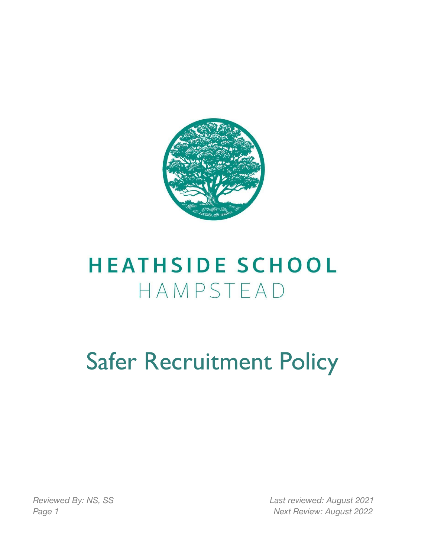

## **HEATHSIDE SCHOOL** HAMPSTEAD

# Safer Recruitment Policy

*Reviewed By: NS, SS Last reviewed: August 2021 Page 1 Next Review: August 2022*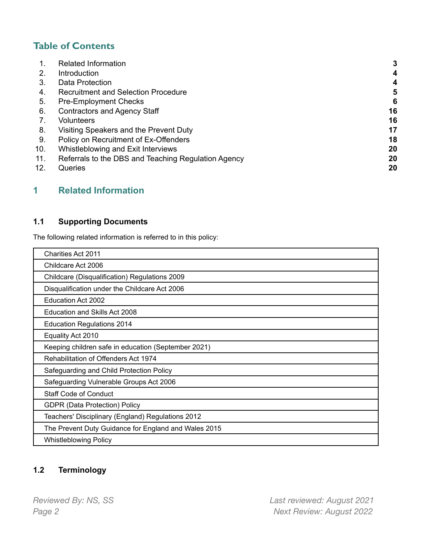## **Table of Contents**

|     | <b>Related Information</b>                          | 3  |
|-----|-----------------------------------------------------|----|
| 2.  | Introduction                                        | 4  |
| 3.  | Data Protection                                     | 4  |
| 4.  | <b>Recruitment and Selection Procedure</b>          | 5  |
| 5.  | <b>Pre-Employment Checks</b>                        | 6  |
| 6.  | <b>Contractors and Agency Staff</b>                 | 16 |
|     | <b>Volunteers</b>                                   | 16 |
| 8.  | Visiting Speakers and the Prevent Duty              | 17 |
| 9.  | Policy on Recruitment of Ex-Offenders               | 18 |
| 10. | Whistleblowing and Exit Interviews                  | 20 |
| 11. | Referrals to the DBS and Teaching Regulation Agency | 20 |
| 12. | Queries                                             | 20 |

## <span id="page-1-0"></span>**1 Related Information**

## **1.1 Supporting Documents**

The following related information is referred to in this policy:

| <b>Charities Act 2011</b>                            |
|------------------------------------------------------|
| Childcare Act 2006                                   |
| Childcare (Disqualification) Regulations 2009        |
| Disqualification under the Childcare Act 2006        |
| Education Act 2002                                   |
| Education and Skills Act 2008                        |
| <b>Education Regulations 2014</b>                    |
| Equality Act 2010                                    |
| Keeping children safe in education (September 2021)  |
| Rehabilitation of Offenders Act 1974                 |
| Safeguarding and Child Protection Policy             |
| Safeguarding Vulnerable Groups Act 2006              |
| <b>Staff Code of Conduct</b>                         |
| <b>GDPR (Data Protection) Policy</b>                 |
| Teachers' Disciplinary (England) Regulations 2012    |
| The Prevent Duty Guidance for England and Wales 2015 |
| <b>Whistleblowing Policy</b>                         |

## **1.2 Terminology**

*Reviewed By: NS, SS Last reviewed: August 2021 Page 2 Next Review: August 2022*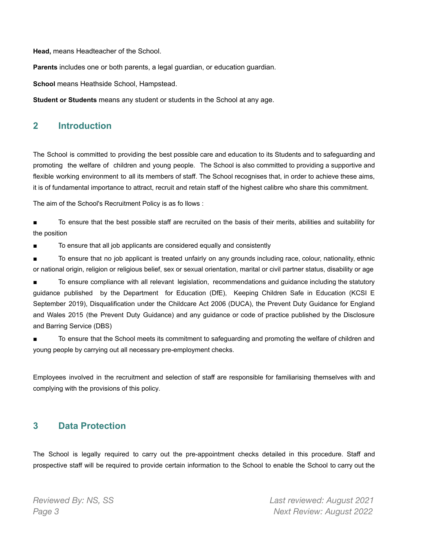**Head,** means Headteacher of the School.

**Parents** includes one or both parents, a legal guardian, or education guardian.

**School** means Heathside School, Hampstead.

**Student or Students** means any student or students in the School at any age.

## <span id="page-2-0"></span>**2 Introduction**

The School is committed to providing the best possible care and education to its Students and to safeguarding and promoting the welfare of children and young people. The School is also committed to providing a supportive and flexible working environment to all its members of staff. The School recognises that, in order to achieve these aims, it is of fundamental importance to attract, recruit and retain staff of the highest calibre who share this commitment.

The aim of the School's Recruitment Policy is as fo llows :

■ To ensure that the best possible staff are recruited on the basis of their merits, abilities and suitability for the position

■ To ensure that all job applicants are considered equally and consistently

■ To ensure that no job applicant is treated unfairly on any grounds including race, colour, nationality, ethnic or national origin, religion or religious belief, sex or sexual orientation, marital or civil partner status, disability or age

To ensure compliance with all relevant legislation, recommendations and guidance including the statutory guidance published by the Department for Education (DfE), Keeping Children Safe in Education (KCSI E September 2019), Disqualification under the Childcare Act 2006 (DUCA), the Prevent Duty Guidance for England and Wales 2015 (the Prevent Duty Guidance) and any guidance or code of practice published by the Disclosure and Barring Service (DBS)

To ensure that the School meets its commitment to safeguarding and promoting the welfare of children and young people by carrying out all necessary pre-employment checks.

Employees involved in the recruitment and selection of staff are responsible for familiarising themselves with and complying with the provisions of this policy.

#### <span id="page-2-1"></span>**3 Data Protection**

The School is legally required to carry out the pre-appointment checks detailed in this procedure. Staff and prospective staff will be required to provide certain information to the School to enable the School to carry out the

*Reviewed By: NS, SS Last reviewed: August 2021 Page 3 Next Review: August 2022*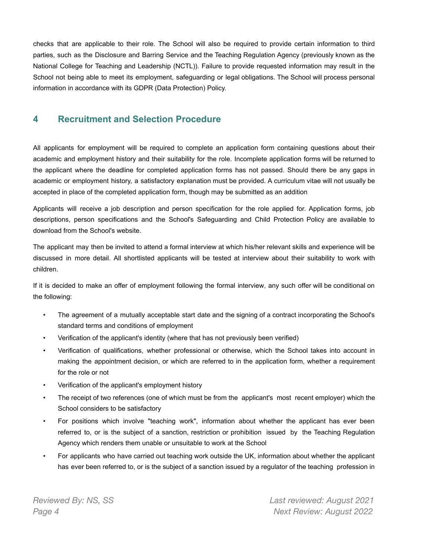checks that are applicable to their role. The School will also be required to provide certain information to third parties, such as the Disclosure and Barring Service and the Teaching Regulation Agency (previously known as the National College for Teaching and Leadership (NCTL)). Failure to provide requested information may result in the School not being able to meet its employment, safeguarding or legal obligations. The School will process personal information in accordance with its GDPR (Data Protection) Policy.

## <span id="page-3-0"></span>**4 Recruitment and Selection Procedure**

All applicants for employment will be required to complete an application form containing questions about their academic and employment history and their suitability for the role. Incomplete application forms will be returned to the applicant where the deadline for completed application forms has not passed. Should there be any gaps in academic or employment history, a satisfactory explanation must be provided. A curriculum vitae will not usually be accepted in place of the completed application form, though may be submitted as an addition

Applicants will receive a job description and person specification for the role applied for. Application forms, job descriptions, person specifications and the School's Safeguarding and Child Protection Policy are available to download from the School's website.

The applicant may then be invited to attend a formal interview at which his/her relevant skills and experience will be discussed in more detail. All shortlisted applicants will be tested at interview about their suitability to work with children.

If it is decided to make an offer of employment following the formal interview, any such offer will be conditional on the following:

- The agreement of a mutually acceptable start date and the signing of a contract incorporating the School's standard terms and conditions of employment
- Verification of the applicant's identity (where that has not previously been verified)
- Verification of qualifications, whether professional or otherwise, which the School takes into account in making the appointment decision, or which are referred to in the application form, whether a requirement for the role or not
- Verification of the applicant's employment history
- The receipt of two references (one of which must be from the applicant's most recent employer) which the School considers to be satisfactory
- For positions which involve "teaching work", information about whether the applicant has ever been referred to, or is the subject of a sanction, restriction or prohibition issued by the Teaching Regulation Agency which renders them unable or unsuitable to work at the School
- For applicants who have carried out teaching work outside the UK, information about whether the applicant has ever been referred to, or is the subject of a sanction issued by a regulator of the teaching profession in

*Reviewed By: NS, SS Last reviewed: August 2021 Page 4 Next Review: August 2022*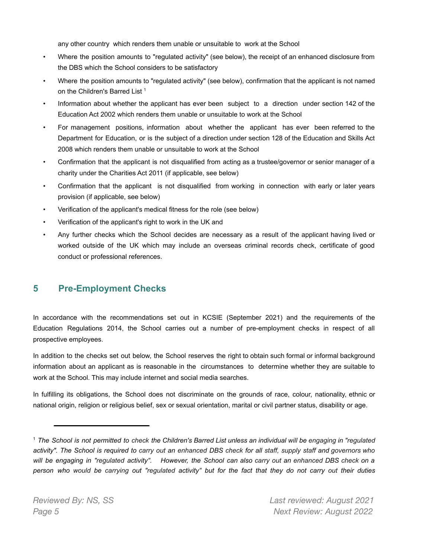any other country which renders them unable or unsuitable to work at the School

- Where the position amounts to "regulated activity" (see below), the receipt of an enhanced disclosure from the DBS which the School considers to be satisfactory
- Where the position amounts to "regulated activity" (see below), confirmation that the applicant is not named on the Children's Barred List<sup>1</sup>
- Information about whether the applicant has ever been subject to a direction under section 142 of the Education Act 2002 which renders them unable or unsuitable to work at the School
- For management positions, information about whether the applicant has ever been referred to the Department for Education, or is the subject of a direction under section 128 of the Education and Skills Act 2008 which renders them unable or unsuitable to work at the School
- Confirmation that the applicant is not disqualified from acting as a trustee/governor or senior manager of a charity under the Charities Act 2011 (if applicable, see below)
- Confirmation that the applicant is not disqualified from working in connection with early or later years provision (if applicable, see below)
- Verification of the applicant's medical fitness for the role (see below)
- Verification of the applicant's right to work in the UK and
- Any further checks which the School decides are necessary as a result of the applicant having lived or worked outside of the UK which may include an overseas criminal records check, certificate of good conduct or professional references.

## <span id="page-4-0"></span>**5 Pre-Employment Checks**

In accordance with the recommendations set out in KCSIE (September 2021) and the requirements of the Education Regulations 2014, the School carries out a number of pre-employment checks in respect of all prospective employees.

In addition to the checks set out below, the School reserves the right to obtain such formal or informal background information about an applicant as is reasonable in the circumstances to determine whether they are suitable to work at the School. This may include internet and social media searches.

In fulfilling its obligations, the School does not discriminate on the grounds of race, colour, nationality, ethnic or national origin, religion or religious belief, sex or sexual orientation, marital or civil partner status, disability or age.

<sup>&</sup>lt;sup>1</sup> The School is not permitted to check the Children's Barred List unless an individual will be engaging in "regulated activity". The School is required to carry out an enhanced DBS check for all staff, supply staff and governors who will be engaging in "regulated activity". However, the School can also carry out an enhanced DBS check on a person who would be carrying out "regulated activity" but for the fact that they do not carry out their duties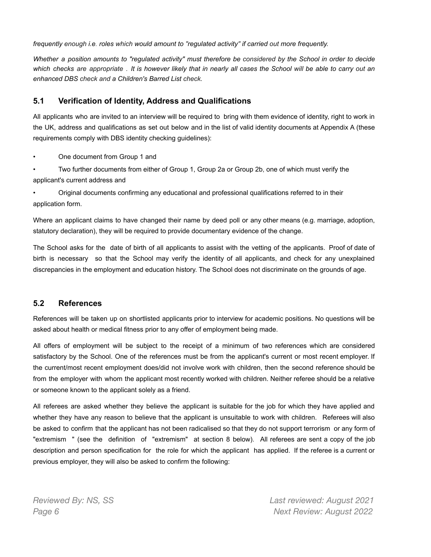*frequently enough i.e. roles which would amount to "regulated activity" if carried out more frequently.*

Whether a position amounts to "regulated activity" must therefore be considered by the School in order to decide which checks are appropriate. It is however likely that in nearly all cases the School will be able to carry out an *enhanced DBS check and a Children's Barred List check.*

#### **5.1 Verification of Identity, Address and Qualifications**

All applicants who are invited to an interview will be required to bring with them evidence of identity, right to work in the UK, address and qualifications as set out below and in the list of valid identity documents at Appendix A (these requirements comply with DBS identity checking guidelines):

• One document from Group 1 and

• Two further documents from either of Group 1, Group 2a or Group 2b, one of which must verify the applicant's current address and

• Original documents confirming any educational and professional qualifications referred to in their application form.

Where an applicant claims to have changed their name by deed poll or any other means (e.g. marriage, adoption, statutory declaration), they will be required to provide documentary evidence of the change.

The School asks for the date of birth of all applicants to assist with the vetting of the applicants. Proof of date of birth is necessary so that the School may verify the identity of all applicants, and check for any unexplained discrepancies in the employment and education history. The School does not discriminate on the grounds of age.

#### **5.2 References**

References will be taken up on shortlisted applicants prior to interview for academic positions. No questions will be asked about health or medical fitness prior to any offer of employment being made.

All offers of employment will be subject to the receipt of a minimum of two references which are considered satisfactory by the School. One of the references must be from the applicant's current or most recent employer. If the current/most recent employment does/did not involve work with children, then the second reference should be from the employer with whom the applicant most recently worked with children. Neither referee should be a relative or someone known to the applicant solely as a friend.

All referees are asked whether they believe the applicant is suitable for the job for which they have applied and whether they have any reason to believe that the applicant is unsuitable to work with children. Referees will also be asked to confirm that the applicant has not been radicalised so that they do not support terrorism or any form of "extremism " (see the definition of "extremism" at section 8 below). All referees are sent a copy of the job description and person specification for the role for which the applicant has applied. If the referee is a current or previous employer, they will also be asked to confirm the following:

*Reviewed By: NS, SS Last reviewed: August 2021 Page 6 Next Review: August 2022*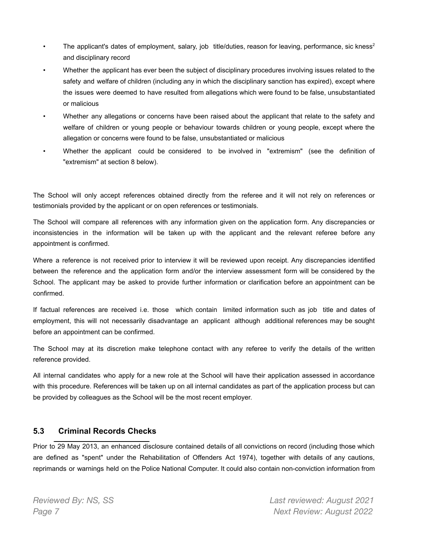- The applicant's dates of employment, salary, job title/duties, reason for leaving, performance, sic kness<sup>2</sup> and disciplinary record
- Whether the applicant has ever been the subject of disciplinary procedures involving issues related to the safety and welfare of children (including any in which the disciplinary sanction has expired), except where the issues were deemed to have resulted from allegations which were found to be false, unsubstantiated or malicious
- Whether any allegations or concerns have been raised about the applicant that relate to the safety and welfare of children or young people or behaviour towards children or young people, except where the allegation or concerns were found to be false, unsubstantiated or malicious
- Whether the applicant could be considered to be involved in "extremism" (see the definition of "extremism" at section 8 below).

The School will only accept references obtained directly from the referee and it will not rely on references or testimonials provided by the applicant or on open references or testimonials.

The School will compare all references with any information given on the application form. Any discrepancies or inconsistencies in the information will be taken up with the applicant and the relevant referee before any appointment is confirmed.

Where a reference is not received prior to interview it will be reviewed upon receipt. Any discrepancies identified between the reference and the application form and/or the interview assessment form will be considered by the School. The applicant may be asked to provide further information or clarification before an appointment can be confirmed.

If factual references are received i.e. those which contain limited information such as job title and dates of employment, this will not necessarily disadvantage an applicant although additional references may be sought before an appointment can be confirmed.

The School may at its discretion make telephone contact with any referee to verify the details of the written reference provided.

All internal candidates who apply for a new role at the School will have their application assessed in accordance with this procedure. References will be taken up on all internal candidates as part of the application process but can be provided by colleagues as the School will be the most recent employer.

#### **5.3 Criminal Records Checks**

Prior to 29 May 2013, an enhanced disclosure contained details of all convictions on record (including those which are defined as "spent" under the Rehabilitation of Offenders Act 1974), together with details of any cautions, reprimands or warnings held on the Police National Computer. It could also contain non-conviction information from

*Reviewed By: NS, SS Last reviewed: August 2021 Page 7 Next Review: August 2022*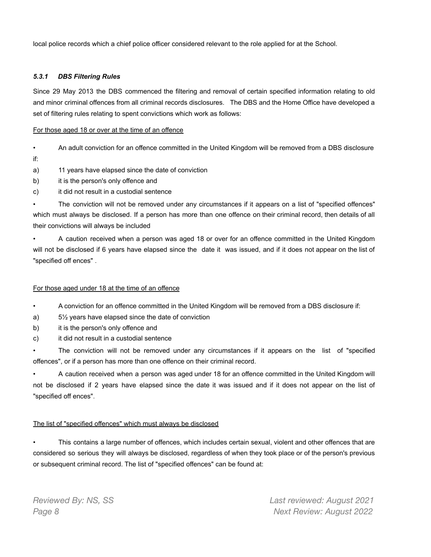local police records which a chief police officer considered relevant to the role applied for at the School.

#### *5.3.1 DBS Filtering Rules*

Since 29 May 2013 the DBS commenced the filtering and removal of certain specified information relating to old and minor criminal offences from all criminal records disclosures. The DBS and the Home Office have developed a set of filtering rules relating to spent convictions which work as follows:

#### For those aged 18 or over at the time of an offence

- An adult conviction for an offence committed in the United Kingdom will be removed from a DBS disclosure if:
- a) 11 years have elapsed since the date of conviction
- b) it is the person's only offence and
- c) it did not result in a custodial sentence

The conviction will not be removed under any circumstances if it appears on a list of "specified offences" which must always be disclosed. If a person has more than one offence on their criminal record, then details of all their convictions will always be included

• A caution received when a person was aged 18 or over for an offence committed in the United Kingdom will not be disclosed if 6 years have elapsed since the date it was issued, and if it does not appear on the list of "specified off ences" .

#### For those aged under 18 at the time of an offence

• A conviction for an offence committed in the United Kingdom will be removed from a DBS disclosure if:

- a) 5½ years have elapsed since the date of conviction
- b) it is the person's only offence and
- c) it did not result in a custodial sentence

The conviction will not be removed under any circumstances if it appears on the list of "specified" offences", or if a person has more than one offence on their criminal record.

• A caution received when a person was aged under 18 for an offence committed in the United Kingdom will not be disclosed if 2 years have elapsed since the date it was issued and if it does not appear on the list of "specified off ences".

#### The list of "specified offences" which must always be disclosed

• This contains a large number of offences, which includes certain sexual, violent and other offences that are considered so serious they will always be disclosed, regardless of when they took place or of the person's previous or subsequent criminal record. The list of "specified offences" can be found at:

*Reviewed By: NS, SS Last reviewed: August 2021 Page 8 Next Review: August 2022*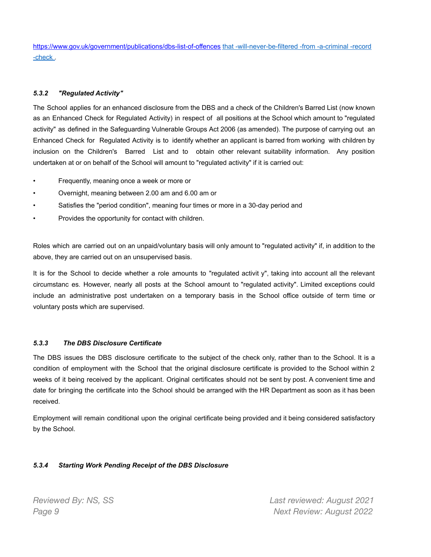<https://www.gov.uk/government/publications/dbs-list-of-offences> that -will-never-be-filtered -from -a-criminal -record -check .

#### *5.3.2 "Regulated Activity"*

The School applies for an enhanced disclosure from the DBS and a check of the Children's Barred List (now known as an Enhanced Check for Regulated Activity) in respect of all positions at the School which amount to "regulated activity" as defined in the Safeguarding Vulnerable Groups Act 2006 (as amended). The purpose of carrying out an Enhanced Check for Regulated Activity is to identify whether an applicant is barred from working with children by inclusion on the Children's Barred List and to obtain other relevant suitability information. Any position undertaken at or on behalf of the School will amount to "regulated activity" if it is carried out:

- Frequently, meaning once a week or more or
- Overnight, meaning between 2.00 am and 6.00 am or
- Satisfies the "period condition", meaning four times or more in a 30-day period and
- Provides the opportunity for contact with children.

Roles which are carried out on an unpaid/voluntary basis will only amount to "regulated activity" if, in addition to the above, they are carried out on an unsupervised basis.

It is for the School to decide whether a role amounts to "regulated activit y", taking into account all the relevant circumstanc es. However, nearly all posts at the School amount to "regulated activity". Limited exceptions could include an administrative post undertaken on a temporary basis in the School office outside of term time or voluntary posts which are supervised.

#### *5.3.3 The DBS Disclosure Certificate*

The DBS issues the DBS disclosure certificate to the subject of the check only, rather than to the School. It is a condition of employment with the School that the original disclosure certificate is provided to the School within 2 weeks of it being received by the applicant. Original certificates should not be sent by post. A convenient time and date for bringing the certificate into the School should be arranged with the HR Department as soon as it has been received.

Employment will remain conditional upon the original certificate being provided and it being considered satisfactory by the School.

#### *5.3.4 Starting Work Pending Receipt of the DBS Disclosure*

*Reviewed By: NS, SS Last reviewed: August 2021 Page 9 Next Review: August 2022*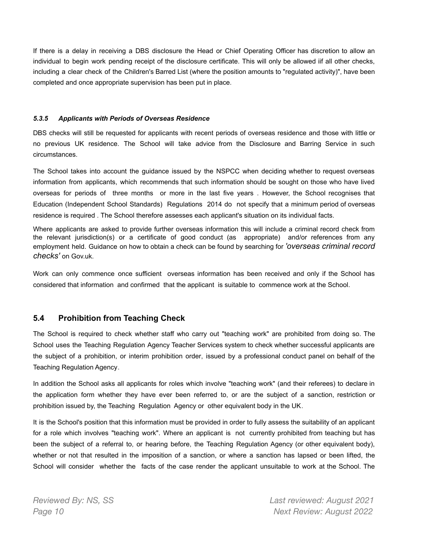If there is a delay in receiving a DBS disclosure the Head or Chief Operating Officer has discretion to allow an individual to begin work pending receipt of the disclosure certificate. This will only be allowed iif all other checks, including a clear check of the Children's Barred List (where the position amounts to "regulated activity)", have been completed and once appropriate supervision has been put in place.

#### *5.3.5 Applicants with Periods of Overseas Residence*

DBS checks will still be requested for applicants with recent periods of overseas residence and those with little or no previous UK residence. The School will take advice from the Disclosure and Barring Service in such circumstances.

The School takes into account the guidance issued by the NSPCC when deciding whether to request overseas information from applicants, which recommends that such information should be sought on those who have lived overseas for periods of three months or more in the last five years . However, the School recognises that Education (Independent School Standards) Regulations 2014 do not specify that a minimum period of overseas residence is required . The School therefore assesses each applicant's situation on its individual facts.

Where applicants are asked to provide further overseas information this will include a criminal record check from the relevant jurisdiction(s) or a certificate of good conduct (as appropriate) and/or references from any employment held. Guidance on how to obtain a check can be found by searching for *'overseas criminal record checks'* on Gov.uk.

Work can only commence once sufficient overseas information has been received and only if the School has considered that information and confirmed that the applicant is suitable to commence work at the School.

#### **5.4 Prohibition from Teaching Check**

The School is required to check whether staff who carry out "teaching work" are prohibited from doing so. The School uses the Teaching Regulation Agency Teacher Services system to check whether successful applicants are the subject of a prohibition, or interim prohibition order, issued by a professional conduct panel on behalf of the Teaching Regulation Agency.

In addition the School asks all applicants for roles which involve "teaching work" (and their referees) to declare in the application form whether they have ever been referred to, or are the subject of a sanction, restriction or prohibition issued by, the Teaching Regulation Agency or other equivalent body in the UK.

It is the School's position that this information must be provided in order to fully assess the suitability of an applicant for a role which involves "teaching work". Where an applicant is not currently prohibited from teaching but has been the subject of a referral to, or hearing before, the Teaching Regulation Agency (or other equivalent body), whether or not that resulted in the imposition of a sanction, or where a sanction has lapsed or been lifted, the School will consider whether the facts of the case render the applicant unsuitable to work at the School. The

*Reviewed By: NS, SS Last reviewed: August 2021 Page 10 Next Review: August 2022*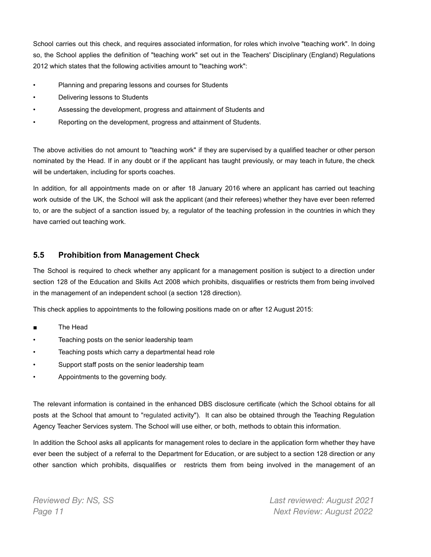School carries out this check, and requires associated information, for roles which involve "teaching work". In doing so, the School applies the definition of "teaching work" set out in the Teachers' Disciplinary (England) Regulations 2012 which states that the following activities amount to "teaching work":

- Planning and preparing lessons and courses for Students
- Delivering lessons to Students
- Assessing the development, progress and attainment of Students and
- Reporting on the development, progress and attainment of Students.

The above activities do not amount to "teaching work" if they are supervised by a qualified teacher or other person nominated by the Head. If in any doubt or if the applicant has taught previously, or may teach in future, the check will be undertaken, including for sports coaches.

In addition, for all appointments made on or after 18 January 2016 where an applicant has carried out teaching work outside of the UK, the School will ask the applicant (and their referees) whether they have ever been referred to, or are the subject of a sanction issued by, a regulator of the teaching profession in the countries in which they have carried out teaching work.

#### **5.5 Prohibition from Management Check**

The School is required to check whether any applicant for a management position is subject to a direction under section 128 of the Education and Skills Act 2008 which prohibits, disqualifies or restricts them from being involved in the management of an independent school (a section 128 direction).

This check applies to appointments to the following positions made on or after 12 August 2015:

- The Head
- Teaching posts on the senior leadership team
- Teaching posts which carry a departmental head role
- Support staff posts on the senior leadership team
- Appointments to the governing body.

The relevant information is contained in the enhanced DBS disclosure certificate (which the School obtains for all posts at the School that amount to "regulated activity"). It can also be obtained through the Teaching Regulation Agency Teacher Services system. The School will use either, or both, methods to obtain this information.

In addition the School asks all applicants for management roles to declare in the application form whether they have ever been the subject of a referral to the Department for Education, or are subject to a section 128 direction or any other sanction which prohibits, disqualifies or restricts them from being involved in the management of an

*Reviewed By: NS, SS Last reviewed: August 2021 Page 11 Next Review: August 2022*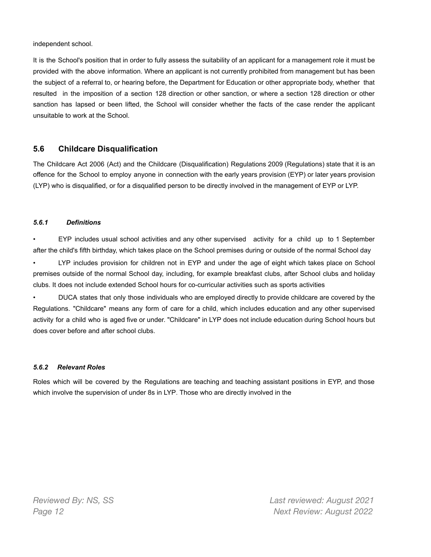independent school.

It is the School's position that in order to fully assess the suitability of an applicant for a management role it must be provided with the above information. Where an applicant is not currently prohibited from management but has been the subject of a referral to, or hearing before, the Department for Education or other appropriate body, whether that resulted in the imposition of a section 128 direction or other sanction, or where a section 128 direction or other sanction has lapsed or been lifted, the School will consider whether the facts of the case render the applicant unsuitable to work at the School.

#### **5.6 Childcare Disqualification**

The Childcare Act 2006 (Act) and the Childcare (Disqualification) Regulations 2009 (Regulations) state that it is an offence for the School to employ anyone in connection with the early years provision (EYP) or later years provision (LYP) who is disqualified, or for a disqualified person to be directly involved in the management of EYP or LYP.

#### *5.6.1 Definitions*

• EYP includes usual school activities and any other supervised activity for a child up to 1 September after the child's fifth birthday, which takes place on the School premises during or outside of the normal School day

LYP includes provision for children not in EYP and under the age of eight which takes place on School premises outside of the normal School day, including, for example breakfast clubs, after School clubs and holiday clubs. It does not include extended School hours for co-curricular activities such as sports activities

• DUCA states that only those individuals who are employed directly to provide childcare are covered by the Regulations. "Childcare" means any form of care for a child, which includes education and any other supervised activity for a child who is aged five or under. "Childcare" in LYP does not include education during School hours but does cover before and after school clubs.

#### *5.6.2 Relevant Roles*

Roles which will be covered by the Regulations are teaching and teaching assistant positions in EYP, and those which involve the supervision of under 8s in LYP. Those who are directly involved in the

*Reviewed By: NS, SS Last reviewed: August 2021 Page 12 Next Review: August 2022*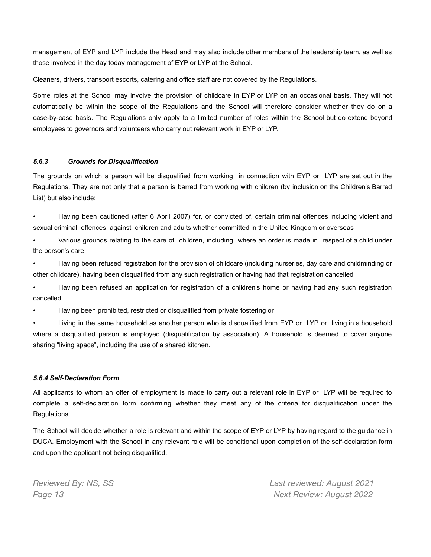management of EYP and LYP include the Head and may also include other members of the leadership team, as well as those involved in the day today management of EYP or LYP at the School.

Cleaners, drivers, transport escorts, catering and office staff are not covered by the Regulations.

Some roles at the School may involve the provision of childcare in EYP or LYP on an occasional basis. They will not automatically be within the scope of the Regulations and the School will therefore consider whether they do on a case-by-case basis. The Regulations only apply to a limited number of roles within the School but do extend beyond employees to governors and volunteers who carry out relevant work in EYP or LYP.

#### *5.6.3 Grounds for Disqualification*

The grounds on which a person will be disqualified from working in connection with EYP or LYP are set out in the Regulations. They are not only that a person is barred from working with children (by inclusion on the Children's Barred List) but also include:

• Having been cautioned (after 6 April 2007) for, or convicted of, certain criminal offences including violent and sexual criminal offences against children and adults whether committed in the United Kingdom or overseas

• Various grounds relating to the care of children, including where an order is made in respect of a child under the person's care

• Having been refused registration for the provision of childcare (including nurseries, day care and childminding or other childcare), having been disqualified from any such registration or having had that registration cancelled

• Having been refused an application for registration of a children's home or having had any such registration cancelled

• Having been prohibited, restricted or disqualified from private fostering or

• Living in the same household as another person who is disqualified from EYP or LYP or living in a household where a disqualified person is employed (disqualification by association). A household is deemed to cover anyone sharing "living space", including the use of a shared kitchen.

#### *5.6.4 Self-Declaration Form*

All applicants to whom an offer of employment is made to carry out a relevant role in EYP or LYP will be required to complete a self-declaration form confirming whether they meet any of the criteria for disqualification under the Regulations.

The School will decide whether a role is relevant and within the scope of EYP or LYP by having regard to the guidance in DUCA. Employment with the School in any relevant role will be conditional upon completion of the self-declaration form and upon the applicant not being disqualified.

*Reviewed By: NS, SS Last reviewed: August 2021 Page 13 Next Review: August 2022*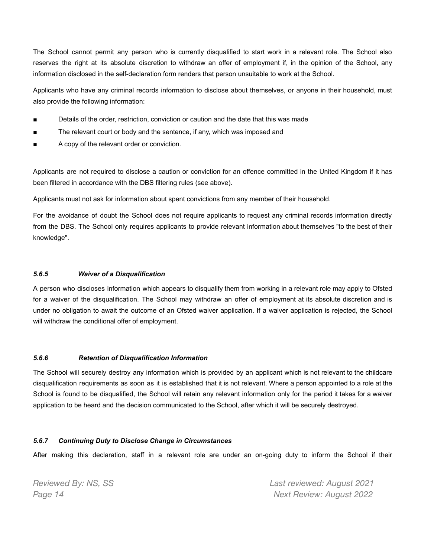The School cannot permit any person who is currently disqualified to start work in a relevant role. The School also reserves the right at its absolute discretion to withdraw an offer of employment if, in the opinion of the School, any information disclosed in the self-declaration form renders that person unsuitable to work at the School.

Applicants who have any criminal records information to disclose about themselves, or anyone in their household, must also provide the following information:

- Details of the order, restriction, conviction or caution and the date that this was made
- The relevant court or body and the sentence, if any, which was imposed and
- A copy of the relevant order or conviction.

Applicants are not required to disclose a caution or conviction for an offence committed in the United Kingdom if it has been filtered in accordance with the DBS filtering rules (see above).

Applicants must not ask for information about spent convictions from any member of their household.

For the avoidance of doubt the School does not require applicants to request any criminal records information directly from the DBS. The School only requires applicants to provide relevant information about themselves "to the best of their knowledge".

#### *5.6.5 Waiver of a Disqualification*

A person who discloses information which appears to disqualify them from working in a relevant role may apply to Ofsted for a waiver of the disqualification. The School may withdraw an offer of employment at its absolute discretion and is under no obligation to await the outcome of an Ofsted waiver application. If a waiver application is rejected, the School will withdraw the conditional offer of employment.

#### *5.6.6 Retention of Disqualification Information*

The School will securely destroy any information which is provided by an applicant which is not relevant to the childcare disqualification requirements as soon as it is established that it is not relevant. Where a person appointed to a role at the School is found to be disqualified, the School will retain any relevant information only for the period it takes for a waiver application to be heard and the decision communicated to the School, after which it will be securely destroyed.

#### *5.6.7 Continuing Duty to Disclose Change in Circumstances*

After making this declaration, staff in a relevant role are under an on-going duty to inform the School if their

*Reviewed By: NS, SS Last reviewed: August 2021 Page 14 Next Review: August 2022*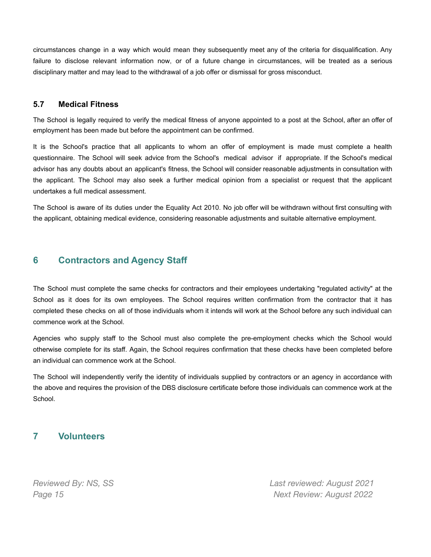circumstances change in a way which would mean they subsequently meet any of the criteria for disqualification. Any failure to disclose relevant information now, or of a future change in circumstances, will be treated as a serious disciplinary matter and may lead to the withdrawal of a job offer or dismissal for gross misconduct.

#### **5.7 Medical Fitness**

The School is legally required to verify the medical fitness of anyone appointed to a post at the School, after an offer of employment has been made but before the appointment can be confirmed.

It is the School's practice that all applicants to whom an offer of employment is made must complete a health questionnaire. The School will seek advice from the School's medical advisor if appropriate. If the School's medical advisor has any doubts about an applicant's fitness, the School will consider reasonable adjustments in consultation with the applicant. The School may also seek a further medical opinion from a specialist or request that the applicant undertakes a full medical assessment.

The School is aware of its duties under the Equality Act 2010. No job offer will be withdrawn without first consulting with the applicant, obtaining medical evidence, considering reasonable adjustments and suitable alternative employment.

## <span id="page-14-0"></span>**6 Contractors and Agency Staff**

The School must complete the same checks for contractors and their employees undertaking "regulated activity" at the School as it does for its own employees. The School requires written confirmation from the contractor that it has completed these checks on all of those individuals whom it intends will work at the School before any such individual can commence work at the School.

Agencies who supply staff to the School must also complete the pre-employment checks which the School would otherwise complete for its staff. Again, the School requires confirmation that these checks have been completed before an individual can commence work at the School.

The School will independently verify the identity of individuals supplied by contractors or an agency in accordance with the above and requires the provision of the DBS disclosure certificate before those individuals can commence work at the School.

#### <span id="page-14-1"></span>**7 Volunteers**

*Reviewed By: NS, SS Last reviewed: August 2021 Page 15 Next Review: August 2022*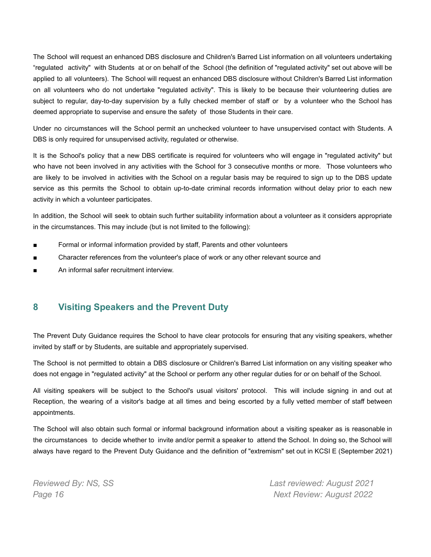The School will request an enhanced DBS disclosure and Children's Barred List information on all volunteers undertaking "regulated activity" with Students at or on behalf of the School (the definition of "regulated activity" set out above will be applied to all volunteers). The School will request an enhanced DBS disclosure without Children's Barred List information on all volunteers who do not undertake "regulated activity". This is likely to be because their volunteering duties are subject to regular, day-to-day supervision by a fully checked member of staff or by a volunteer who the School has deemed appropriate to supervise and ensure the safety of those Students in their care.

Under no circumstances will the School permit an unchecked volunteer to have unsupervised contact with Students. A DBS is only required for unsupervised activity, regulated or otherwise.

It is the School's policy that a new DBS certificate is required for volunteers who will engage in "regulated activity" but who have not been involved in any activities with the School for 3 consecutive months or more. Those volunteers who are likely to be involved in activities with the School on a regular basis may be required to sign up to the DBS update service as this permits the School to obtain up-to-date criminal records information without delay prior to each new activity in which a volunteer participates.

In addition, the School will seek to obtain such further suitability information about a volunteer as it considers appropriate in the circumstances. This may include (but is not limited to the following):

- Formal or informal information provided by staff, Parents and other volunteers
- Character references from the volunteer's place of work or any other relevant source and
- An informal safer recruitment interview

#### <span id="page-15-0"></span>**8 Visiting Speakers and the Prevent Duty**

The Prevent Duty Guidance requires the School to have clear protocols for ensuring that any visiting speakers, whether invited by staff or by Students, are suitable and appropriately supervised.

The School is not permitted to obtain a DBS disclosure or Children's Barred List information on any visiting speaker who does not engage in "regulated activity" at the School or perform any other regular duties for or on behalf of the School.

All visiting speakers will be subject to the School's usual visitors' protocol. This will include signing in and out at Reception, the wearing of a visitor's badge at all times and being escorted by a fully vetted member of staff between appointments.

The School will also obtain such formal or informal background information about a visiting speaker as is reasonable in the circumstances to decide whether to invite and/or permit a speaker to attend the School. In doing so, the School will always have regard to the Prevent Duty Guidance and the definition of "extremism" set out in KCSI E (September 2021)

*Reviewed By: NS, SS Last reviewed: August 2021 Page 16 Next Review: August 2022*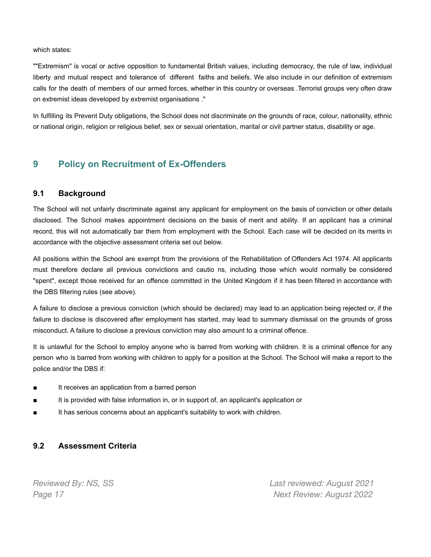which states:

""Extremism" is vocal or active opposition to fundamental British values, including democracy, the rule of law, individual liberty and mutual respect and tolerance of different faiths and beliefs. We also include in our definition of extremism calls for the death of members of our armed forces, whether in this country or overseas .Terrorist groups very often draw on extremist ideas developed by extremist organisations ."

In fulfilling its Prevent Duty obligations, the School does not discriminate on the grounds of race, colour, nationality, ethnic or national origin, religion or religious belief, sex or sexual orientation, marital or civil partner status, disability or age.

## <span id="page-16-0"></span>**9 Policy on Recruitment of Ex-Offenders**

#### **9.1 Background**

The School will not unfairly discriminate against any applicant for employment on the basis of conviction or other details disclosed. The School makes appointment decisions on the basis of merit and ability. If an applicant has a criminal record, this will not automatically bar them from employment with the School. Each case will be decided on its merits in accordance with the objective assessment criteria set out below.

All positions within the School are exempt from the provisions of the Rehabilitation of Offenders Act 1974. All applicants must therefore declare all previous convictions and cautio ns, including those which would normally be considered "spent", except those received for an offence committed in the United Kingdom if it has been filtered in accordance with the DBS filtering rules (see above).

A failure to disclose a previous conviction (which should be declared) may lead to an application being rejected or, if the failure to disclose is discovered after employment has started, may lead to summary dismissal on the grounds of gross misconduct. A failure to disclose a previous conviction may also amount to a criminal offence.

It is unlawful for the School to employ anyone who is barred from working with children. It is a criminal offence for any person who is barred from working with children to apply for a position at the School. The School will make a report to the police and/or the DBS if:

- It receives an application from a barred person
- It is provided with false information in, or in support of, an applicant's application or
- It has serious concerns about an applicant's suitability to work with children.

#### **9.2 Assessment Criteria**

*Reviewed By: NS, SS Last reviewed: August 2021 Page 17 Next Review: August 2022*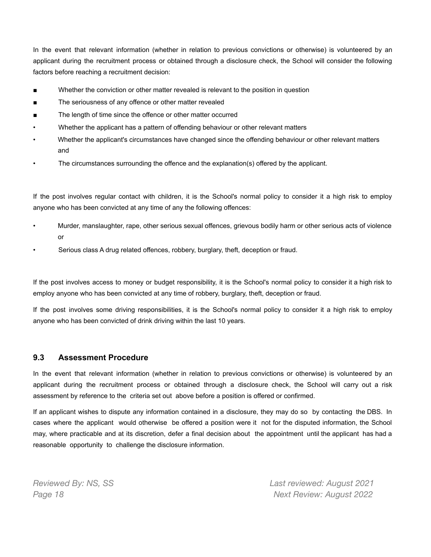In the event that relevant information (whether in relation to previous convictions or otherwise) is volunteered by an applicant during the recruitment process or obtained through a disclosure check, the School will consider the following factors before reaching a recruitment decision:

- Whether the conviction or other matter revealed is relevant to the position in question
- The seriousness of any offence or other matter revealed
- The length of time since the offence or other matter occurred
- Whether the applicant has a pattern of offending behaviour or other relevant matters
- Whether the applicant's circumstances have changed since the offending behaviour or other relevant matters and
- The circumstances surrounding the offence and the explanation(s) offered by the applicant.

If the post involves regular contact with children, it is the School's normal policy to consider it a high risk to employ anyone who has been convicted at any time of any the following offences:

- Murder, manslaughter, rape, other serious sexual offences, grievous bodily harm or other serious acts of violence or
- Serious class A drug related offences, robbery, burglary, theft, deception or fraud.

If the post involves access to money or budget responsibility, it is the School's normal policy to consider it a high risk to employ anyone who has been convicted at any time of robbery, burglary, theft, deception or fraud.

If the post involves some driving responsibilities, it is the School's normal policy to consider it a high risk to employ anyone who has been convicted of drink driving within the last 10 years.

#### **9.3 Assessment Procedure**

In the event that relevant information (whether in relation to previous convictions or otherwise) is volunteered by an applicant during the recruitment process or obtained through a disclosure check, the School will carry out a risk assessment by reference to the criteria set out above before a position is offered or confirmed.

If an applicant wishes to dispute any information contained in a disclosure, they may do so by contacting the DBS. In cases where the applicant would otherwise be offered a position were it not for the disputed information, the School may, where practicable and at its discretion, defer a final decision about the appointment until the applicant has had a reasonable opportunity to challenge the disclosure information.

*Reviewed By: NS, SS Last reviewed: August 2021 Page 18 Next Review: August 2022*